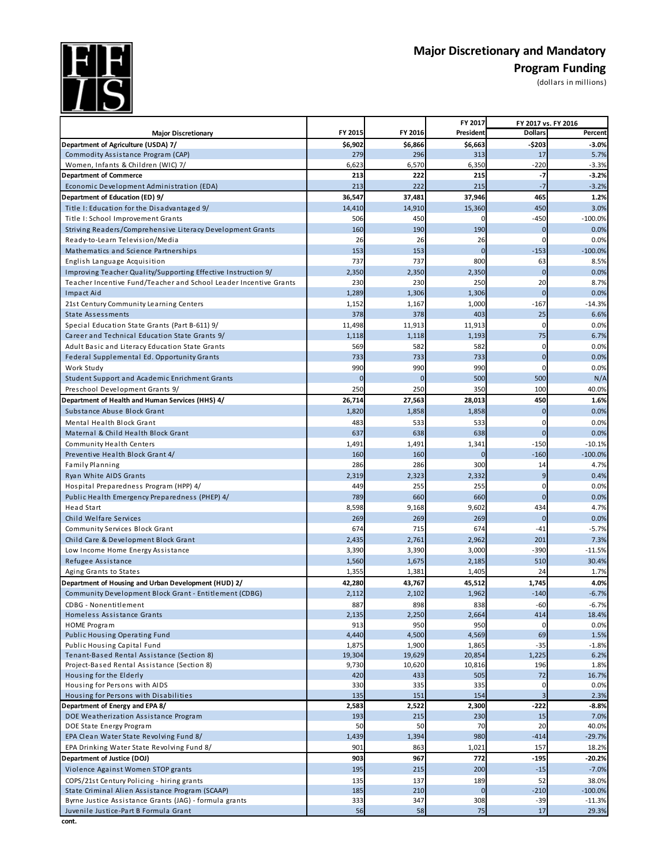**Major Discretionary and Mandatory**<br>Program Funding



## **Program Funding** ns)

| (dollars in million |  |  |
|---------------------|--|--|
|                     |  |  |

| FY 2015<br>FY 2016<br>President<br><b>Dollars</b><br>Percent<br><b>Major Discretionary</b><br>\$6,902<br>$-5203$<br>\$6,866<br>\$6,663<br>$-3.0%$<br>279<br>313<br>5.7%<br>Commodity Assistance Program (CAP)<br>296<br>17<br>6,350<br>$-220$<br>6,623<br>6,570<br>$-3.3%$<br>Women, Infants & Children (WIC) 7/<br>$-3.2%$<br>222<br>215<br>$-7$<br><b>Department of Commerce</b><br>213<br>215<br>213<br>222<br>$-3.2%$<br>Economic Development Administration (EDA)<br>$-7$<br>36,547<br>37,481<br>37,946<br>465<br>1.2%<br>Department of Education (ED) 9/<br>Title I: Education for the Disadvantaged 9/<br>14,410<br>14,910<br>15,360<br>450<br>3.0%<br>506<br>450<br>$-450$<br>$-100.0%$<br>Title I: School Improvement Grants<br>190<br>190<br>Striving Readers/Comprehensive Literacy Development Grants<br>160<br>$\bf{0}$<br>0.0%<br>26<br>26<br>26<br>0.0%<br>Ready-to-Learn Television/Media<br>0<br>Mathematics and Science Partnerships<br>153<br>153<br>$\overline{0}$<br>$-153$<br>$-100.0%$<br>737<br>737<br>800<br>63<br>8.5%<br>English Language Acquisition<br>$\mathbf 0$<br>Improving Teacher Quality/Supporting Effective Instruction 9/<br>2,350<br>2,350<br>2,350<br>0.0%<br>230<br>230<br>250<br>20<br>Teacher Incentive Fund/Teacher and School Leader Incentive Grants<br>8.7%<br>$\Omega$<br>Impact Aid<br>1,289<br>1,306<br>1,306<br>0.0%<br>21st Century Community Learning Centers<br>1,167<br>1,000<br>$-167$<br>$-14.3%$<br>1,152<br>378<br>403<br>25<br><b>State Assessments</b><br>378<br>6.6%<br>11,913<br>Special Education State Grants (Part B-611) 9/<br>11,498<br>11,913<br>0<br>0.0%<br>Career and Technical Education State Grants 9/<br>1,118<br>1,118<br>1,193<br>75<br>6.7%<br>582<br>582<br>Adult Basic and Literacy Education State Grants<br>569<br>0<br>0.0%<br>$\mathbf 0$<br>Federal Supplemental Ed. Opportunity Grants<br>733<br>733<br>733<br>0.0%<br>990<br>990<br>990<br>0<br>0.0%<br>Work Study<br>500<br>500<br>N/A<br>Student Support and Academic Enrichment Grants<br>$\overline{0}$<br>$\mathbf{0}$<br>350<br>250<br>100<br>Preschool Development Grants 9/<br>250<br>40.0%<br>26,714<br>27,563<br>28,013<br>450<br>1.6%<br>Department of Health and Human Services (HHS) 4/<br>Substance Abuse Block Grant<br>1,820<br>1,858<br>1,858<br>$\overline{0}$<br>0.0%<br>Mental Health Block Grant<br>483<br>533<br>533<br>0<br>0.0%<br>637<br>638<br>638<br>0.0%<br>Maternal & Child Health Block Grant<br>$\overline{0}$<br>$-150$<br>Community Health Centers<br>1,491<br>1,491<br>1,341<br>$-10.1%$<br>$-160$<br>$-100.0%$<br>Preventive Health Block Grant 4/<br>160<br>160<br><b>Family Planning</b><br>286<br>286<br>300<br>14<br>4.7%<br>2,332<br>9<br>Ryan White AIDS Grants<br>2,319<br>2,323<br>0.4%<br>255<br>255<br>Hospital Preparedness Program (HPP) 4/<br>449<br>0<br>0.0%<br>$\overline{0}$<br>789<br>660<br>Public Health Emergency Preparedness (PHEP) 4/<br>660<br>0.0%<br><b>Head Start</b><br>8,598<br>9,168<br>9,602<br>434<br>4.7%<br>269<br>269<br>269<br>Child Welfare Services<br>$\overline{0}$<br>0.0%<br>674<br>Community Services Block Grant<br>674<br>715<br>$-41$<br>$-5.7%$<br>201<br>Child Care & Development Block Grant<br>2,435<br>2,761<br>2,962<br>7.3%<br>3,390<br>3,390<br>3,000<br>$-390$<br>$-11.5%$<br>Low Income Home Energy Assistance<br>510<br>30.4%<br>1,560<br>1,675<br>2,185<br>Refugee Assistance<br>1,355<br>1,381<br>1,405<br>24<br>1.7%<br>Aging Grants to States<br>1,745<br>Department of Housing and Urban Development (HUD) 2/<br>42,280<br>43,767<br>45,512<br>4.0%<br>Community Development Block Grant - Entitlement (CDBG)<br>2,102<br>1,962<br>$-140$<br>$-6.7%$<br>2,112<br>887<br>898<br>838<br>$-60$<br>$-6.7%$<br>CDBG - Nonentitlement<br>2,135<br>2,250<br>2,664<br>414<br>18.4%<br>Homeless Assistance Grants<br>913<br>950<br>950<br>0.0%<br><b>HOME Program</b><br>$\mathbf 0$<br>Public Housing Operating Fund<br>4,440<br>4,500<br>4,569<br>69<br>1.5%<br>Public Housing Capital Fund<br>1,875<br>1,900<br>1,865<br>$-35$<br>$-1.8%$<br>Tenant-Based Rental Assistance (Section 8)<br>19,304<br>1,225<br>19,629<br>20,854<br>6.2%<br>196<br>Project-Based Rental Assistance (Section 8)<br>9,730<br>10,620<br>10,816<br>1.8%<br>420<br>433<br>505<br>72<br>Housing for the Elderly<br>16.7%<br>335<br>335<br>0.0%<br>Housing for Persons with AIDS<br>330<br>0<br>135<br>151<br>154<br>3<br>Housing for Persons with Disabilities<br>2.3%<br>Department of Energy and EPA 8/<br>2,583<br>2,522<br>2,300<br>$-222$<br>$-8.8%$<br>DOE Weatherization Assistance Program<br>230<br>15<br>7.0%<br>193<br>215<br>50<br>40.0%<br>DOE State Energy Program<br>50<br>70<br>20<br>EPA Clean Water State Revolving Fund 8/<br>980<br>$-29.7%$<br>1,394<br>$-414$<br>1,439<br>901<br>863<br>1,021<br>157<br>EPA Drinking Water State Revolving Fund 8/<br>18.2%<br>Department of Justice (DOJ)<br>903<br>967<br>772<br>$-195$<br>$-20.2%$<br>Violence Against Women STOP grants<br>215<br>200<br>$-15$<br>$-7.0%$<br>195<br>COPS/21st Century Policing - hiring grants<br>135<br>137<br>189<br>52<br>38.0%<br>State Criminal Alien Assistance Program (SCAAP)<br>185<br>210<br>$\overline{0}$<br>$-210$<br>$-100.0%$ | Byrne Justice Assistance Grants (JAG) - formula grants<br>333<br>347<br>308<br>$-39$<br>$-11.3%$ |                                       |    |    | FY 2017 | FY 2017 vs. FY 2016 |       |
|-----------------------------------------------------------------------------------------------------------------------------------------------------------------------------------------------------------------------------------------------------------------------------------------------------------------------------------------------------------------------------------------------------------------------------------------------------------------------------------------------------------------------------------------------------------------------------------------------------------------------------------------------------------------------------------------------------------------------------------------------------------------------------------------------------------------------------------------------------------------------------------------------------------------------------------------------------------------------------------------------------------------------------------------------------------------------------------------------------------------------------------------------------------------------------------------------------------------------------------------------------------------------------------------------------------------------------------------------------------------------------------------------------------------------------------------------------------------------------------------------------------------------------------------------------------------------------------------------------------------------------------------------------------------------------------------------------------------------------------------------------------------------------------------------------------------------------------------------------------------------------------------------------------------------------------------------------------------------------------------------------------------------------------------------------------------------------------------------------------------------------------------------------------------------------------------------------------------------------------------------------------------------------------------------------------------------------------------------------------------------------------------------------------------------------------------------------------------------------------------------------------------------------------------------------------------------------------------------------------------------------------------------------------------------------------------------------------------------------------------------------------------------------------------------------------------------------------------------------------------------------------------------------------------------------------------------------------------------------------------------------------------------------------------------------------------------------------------------------------------------------------------------------------------------------------------------------------------------------------------------------------------------------------------------------------------------------------------------------------------------------------------------------------------------------------------------------------------------------------------------------------------------------------------------------------------------------------------------------------------------------------------------------------------------------------------------------------------------------------------------------------------------------------------------------------------------------------------------------------------------------------------------------------------------------------------------------------------------------------------------------------------------------------------------------------------------------------------------------------------------------------------------------------------------------------------------------------------------------------------------------------------------------------------------------------------------------------------------------------------------------------------------------------------------------------------------------------------------------------------------------------------------------------------------------------------------------------------------------------------------------------------------------------------------------------------------------------------------------------------------------------------------------------------------------------------------------------------------------------------------------------------------------------------------------------------------------------------------------------------------------------------------------------------------------------------------------------------------------------------------------------------------------------------------------------------------------------------------------------------------------|--------------------------------------------------------------------------------------------------|---------------------------------------|----|----|---------|---------------------|-------|
|                                                                                                                                                                                                                                                                                                                                                                                                                                                                                                                                                                                                                                                                                                                                                                                                                                                                                                                                                                                                                                                                                                                                                                                                                                                                                                                                                                                                                                                                                                                                                                                                                                                                                                                                                                                                                                                                                                                                                                                                                                                                                                                                                                                                                                                                                                                                                                                                                                                                                                                                                                                                                                                                                                                                                                                                                                                                                                                                                                                                                                                                                                                                                                                                                                                                                                                                                                                                                                                                                                                                                                                                                                                                                                                                                                                                                                                                                                                                                                                                                                                                                                                                                                                                                                                                                                                                                                                                                                                                                                                                                                                                                                                                                                                                                                                                                                                                                                                                                                                                                                                                                                                                                                                                                                                     |                                                                                                  |                                       |    |    |         |                     |       |
|                                                                                                                                                                                                                                                                                                                                                                                                                                                                                                                                                                                                                                                                                                                                                                                                                                                                                                                                                                                                                                                                                                                                                                                                                                                                                                                                                                                                                                                                                                                                                                                                                                                                                                                                                                                                                                                                                                                                                                                                                                                                                                                                                                                                                                                                                                                                                                                                                                                                                                                                                                                                                                                                                                                                                                                                                                                                                                                                                                                                                                                                                                                                                                                                                                                                                                                                                                                                                                                                                                                                                                                                                                                                                                                                                                                                                                                                                                                                                                                                                                                                                                                                                                                                                                                                                                                                                                                                                                                                                                                                                                                                                                                                                                                                                                                                                                                                                                                                                                                                                                                                                                                                                                                                                                                     |                                                                                                  | Department of Agriculture (USDA) 7/   |    |    |         |                     |       |
|                                                                                                                                                                                                                                                                                                                                                                                                                                                                                                                                                                                                                                                                                                                                                                                                                                                                                                                                                                                                                                                                                                                                                                                                                                                                                                                                                                                                                                                                                                                                                                                                                                                                                                                                                                                                                                                                                                                                                                                                                                                                                                                                                                                                                                                                                                                                                                                                                                                                                                                                                                                                                                                                                                                                                                                                                                                                                                                                                                                                                                                                                                                                                                                                                                                                                                                                                                                                                                                                                                                                                                                                                                                                                                                                                                                                                                                                                                                                                                                                                                                                                                                                                                                                                                                                                                                                                                                                                                                                                                                                                                                                                                                                                                                                                                                                                                                                                                                                                                                                                                                                                                                                                                                                                                                     |                                                                                                  |                                       |    |    |         |                     |       |
|                                                                                                                                                                                                                                                                                                                                                                                                                                                                                                                                                                                                                                                                                                                                                                                                                                                                                                                                                                                                                                                                                                                                                                                                                                                                                                                                                                                                                                                                                                                                                                                                                                                                                                                                                                                                                                                                                                                                                                                                                                                                                                                                                                                                                                                                                                                                                                                                                                                                                                                                                                                                                                                                                                                                                                                                                                                                                                                                                                                                                                                                                                                                                                                                                                                                                                                                                                                                                                                                                                                                                                                                                                                                                                                                                                                                                                                                                                                                                                                                                                                                                                                                                                                                                                                                                                                                                                                                                                                                                                                                                                                                                                                                                                                                                                                                                                                                                                                                                                                                                                                                                                                                                                                                                                                     |                                                                                                  |                                       |    |    |         |                     |       |
|                                                                                                                                                                                                                                                                                                                                                                                                                                                                                                                                                                                                                                                                                                                                                                                                                                                                                                                                                                                                                                                                                                                                                                                                                                                                                                                                                                                                                                                                                                                                                                                                                                                                                                                                                                                                                                                                                                                                                                                                                                                                                                                                                                                                                                                                                                                                                                                                                                                                                                                                                                                                                                                                                                                                                                                                                                                                                                                                                                                                                                                                                                                                                                                                                                                                                                                                                                                                                                                                                                                                                                                                                                                                                                                                                                                                                                                                                                                                                                                                                                                                                                                                                                                                                                                                                                                                                                                                                                                                                                                                                                                                                                                                                                                                                                                                                                                                                                                                                                                                                                                                                                                                                                                                                                                     |                                                                                                  |                                       |    |    |         |                     |       |
|                                                                                                                                                                                                                                                                                                                                                                                                                                                                                                                                                                                                                                                                                                                                                                                                                                                                                                                                                                                                                                                                                                                                                                                                                                                                                                                                                                                                                                                                                                                                                                                                                                                                                                                                                                                                                                                                                                                                                                                                                                                                                                                                                                                                                                                                                                                                                                                                                                                                                                                                                                                                                                                                                                                                                                                                                                                                                                                                                                                                                                                                                                                                                                                                                                                                                                                                                                                                                                                                                                                                                                                                                                                                                                                                                                                                                                                                                                                                                                                                                                                                                                                                                                                                                                                                                                                                                                                                                                                                                                                                                                                                                                                                                                                                                                                                                                                                                                                                                                                                                                                                                                                                                                                                                                                     |                                                                                                  |                                       |    |    |         |                     |       |
|                                                                                                                                                                                                                                                                                                                                                                                                                                                                                                                                                                                                                                                                                                                                                                                                                                                                                                                                                                                                                                                                                                                                                                                                                                                                                                                                                                                                                                                                                                                                                                                                                                                                                                                                                                                                                                                                                                                                                                                                                                                                                                                                                                                                                                                                                                                                                                                                                                                                                                                                                                                                                                                                                                                                                                                                                                                                                                                                                                                                                                                                                                                                                                                                                                                                                                                                                                                                                                                                                                                                                                                                                                                                                                                                                                                                                                                                                                                                                                                                                                                                                                                                                                                                                                                                                                                                                                                                                                                                                                                                                                                                                                                                                                                                                                                                                                                                                                                                                                                                                                                                                                                                                                                                                                                     |                                                                                                  |                                       |    |    |         |                     |       |
|                                                                                                                                                                                                                                                                                                                                                                                                                                                                                                                                                                                                                                                                                                                                                                                                                                                                                                                                                                                                                                                                                                                                                                                                                                                                                                                                                                                                                                                                                                                                                                                                                                                                                                                                                                                                                                                                                                                                                                                                                                                                                                                                                                                                                                                                                                                                                                                                                                                                                                                                                                                                                                                                                                                                                                                                                                                                                                                                                                                                                                                                                                                                                                                                                                                                                                                                                                                                                                                                                                                                                                                                                                                                                                                                                                                                                                                                                                                                                                                                                                                                                                                                                                                                                                                                                                                                                                                                                                                                                                                                                                                                                                                                                                                                                                                                                                                                                                                                                                                                                                                                                                                                                                                                                                                     |                                                                                                  |                                       |    |    |         |                     |       |
|                                                                                                                                                                                                                                                                                                                                                                                                                                                                                                                                                                                                                                                                                                                                                                                                                                                                                                                                                                                                                                                                                                                                                                                                                                                                                                                                                                                                                                                                                                                                                                                                                                                                                                                                                                                                                                                                                                                                                                                                                                                                                                                                                                                                                                                                                                                                                                                                                                                                                                                                                                                                                                                                                                                                                                                                                                                                                                                                                                                                                                                                                                                                                                                                                                                                                                                                                                                                                                                                                                                                                                                                                                                                                                                                                                                                                                                                                                                                                                                                                                                                                                                                                                                                                                                                                                                                                                                                                                                                                                                                                                                                                                                                                                                                                                                                                                                                                                                                                                                                                                                                                                                                                                                                                                                     |                                                                                                  |                                       |    |    |         |                     |       |
|                                                                                                                                                                                                                                                                                                                                                                                                                                                                                                                                                                                                                                                                                                                                                                                                                                                                                                                                                                                                                                                                                                                                                                                                                                                                                                                                                                                                                                                                                                                                                                                                                                                                                                                                                                                                                                                                                                                                                                                                                                                                                                                                                                                                                                                                                                                                                                                                                                                                                                                                                                                                                                                                                                                                                                                                                                                                                                                                                                                                                                                                                                                                                                                                                                                                                                                                                                                                                                                                                                                                                                                                                                                                                                                                                                                                                                                                                                                                                                                                                                                                                                                                                                                                                                                                                                                                                                                                                                                                                                                                                                                                                                                                                                                                                                                                                                                                                                                                                                                                                                                                                                                                                                                                                                                     |                                                                                                  |                                       |    |    |         |                     |       |
|                                                                                                                                                                                                                                                                                                                                                                                                                                                                                                                                                                                                                                                                                                                                                                                                                                                                                                                                                                                                                                                                                                                                                                                                                                                                                                                                                                                                                                                                                                                                                                                                                                                                                                                                                                                                                                                                                                                                                                                                                                                                                                                                                                                                                                                                                                                                                                                                                                                                                                                                                                                                                                                                                                                                                                                                                                                                                                                                                                                                                                                                                                                                                                                                                                                                                                                                                                                                                                                                                                                                                                                                                                                                                                                                                                                                                                                                                                                                                                                                                                                                                                                                                                                                                                                                                                                                                                                                                                                                                                                                                                                                                                                                                                                                                                                                                                                                                                                                                                                                                                                                                                                                                                                                                                                     |                                                                                                  |                                       |    |    |         |                     |       |
|                                                                                                                                                                                                                                                                                                                                                                                                                                                                                                                                                                                                                                                                                                                                                                                                                                                                                                                                                                                                                                                                                                                                                                                                                                                                                                                                                                                                                                                                                                                                                                                                                                                                                                                                                                                                                                                                                                                                                                                                                                                                                                                                                                                                                                                                                                                                                                                                                                                                                                                                                                                                                                                                                                                                                                                                                                                                                                                                                                                                                                                                                                                                                                                                                                                                                                                                                                                                                                                                                                                                                                                                                                                                                                                                                                                                                                                                                                                                                                                                                                                                                                                                                                                                                                                                                                                                                                                                                                                                                                                                                                                                                                                                                                                                                                                                                                                                                                                                                                                                                                                                                                                                                                                                                                                     |                                                                                                  |                                       |    |    |         |                     |       |
|                                                                                                                                                                                                                                                                                                                                                                                                                                                                                                                                                                                                                                                                                                                                                                                                                                                                                                                                                                                                                                                                                                                                                                                                                                                                                                                                                                                                                                                                                                                                                                                                                                                                                                                                                                                                                                                                                                                                                                                                                                                                                                                                                                                                                                                                                                                                                                                                                                                                                                                                                                                                                                                                                                                                                                                                                                                                                                                                                                                                                                                                                                                                                                                                                                                                                                                                                                                                                                                                                                                                                                                                                                                                                                                                                                                                                                                                                                                                                                                                                                                                                                                                                                                                                                                                                                                                                                                                                                                                                                                                                                                                                                                                                                                                                                                                                                                                                                                                                                                                                                                                                                                                                                                                                                                     |                                                                                                  |                                       |    |    |         |                     |       |
|                                                                                                                                                                                                                                                                                                                                                                                                                                                                                                                                                                                                                                                                                                                                                                                                                                                                                                                                                                                                                                                                                                                                                                                                                                                                                                                                                                                                                                                                                                                                                                                                                                                                                                                                                                                                                                                                                                                                                                                                                                                                                                                                                                                                                                                                                                                                                                                                                                                                                                                                                                                                                                                                                                                                                                                                                                                                                                                                                                                                                                                                                                                                                                                                                                                                                                                                                                                                                                                                                                                                                                                                                                                                                                                                                                                                                                                                                                                                                                                                                                                                                                                                                                                                                                                                                                                                                                                                                                                                                                                                                                                                                                                                                                                                                                                                                                                                                                                                                                                                                                                                                                                                                                                                                                                     |                                                                                                  |                                       |    |    |         |                     |       |
|                                                                                                                                                                                                                                                                                                                                                                                                                                                                                                                                                                                                                                                                                                                                                                                                                                                                                                                                                                                                                                                                                                                                                                                                                                                                                                                                                                                                                                                                                                                                                                                                                                                                                                                                                                                                                                                                                                                                                                                                                                                                                                                                                                                                                                                                                                                                                                                                                                                                                                                                                                                                                                                                                                                                                                                                                                                                                                                                                                                                                                                                                                                                                                                                                                                                                                                                                                                                                                                                                                                                                                                                                                                                                                                                                                                                                                                                                                                                                                                                                                                                                                                                                                                                                                                                                                                                                                                                                                                                                                                                                                                                                                                                                                                                                                                                                                                                                                                                                                                                                                                                                                                                                                                                                                                     |                                                                                                  |                                       |    |    |         |                     |       |
|                                                                                                                                                                                                                                                                                                                                                                                                                                                                                                                                                                                                                                                                                                                                                                                                                                                                                                                                                                                                                                                                                                                                                                                                                                                                                                                                                                                                                                                                                                                                                                                                                                                                                                                                                                                                                                                                                                                                                                                                                                                                                                                                                                                                                                                                                                                                                                                                                                                                                                                                                                                                                                                                                                                                                                                                                                                                                                                                                                                                                                                                                                                                                                                                                                                                                                                                                                                                                                                                                                                                                                                                                                                                                                                                                                                                                                                                                                                                                                                                                                                                                                                                                                                                                                                                                                                                                                                                                                                                                                                                                                                                                                                                                                                                                                                                                                                                                                                                                                                                                                                                                                                                                                                                                                                     |                                                                                                  |                                       |    |    |         |                     |       |
|                                                                                                                                                                                                                                                                                                                                                                                                                                                                                                                                                                                                                                                                                                                                                                                                                                                                                                                                                                                                                                                                                                                                                                                                                                                                                                                                                                                                                                                                                                                                                                                                                                                                                                                                                                                                                                                                                                                                                                                                                                                                                                                                                                                                                                                                                                                                                                                                                                                                                                                                                                                                                                                                                                                                                                                                                                                                                                                                                                                                                                                                                                                                                                                                                                                                                                                                                                                                                                                                                                                                                                                                                                                                                                                                                                                                                                                                                                                                                                                                                                                                                                                                                                                                                                                                                                                                                                                                                                                                                                                                                                                                                                                                                                                                                                                                                                                                                                                                                                                                                                                                                                                                                                                                                                                     |                                                                                                  |                                       |    |    |         |                     |       |
|                                                                                                                                                                                                                                                                                                                                                                                                                                                                                                                                                                                                                                                                                                                                                                                                                                                                                                                                                                                                                                                                                                                                                                                                                                                                                                                                                                                                                                                                                                                                                                                                                                                                                                                                                                                                                                                                                                                                                                                                                                                                                                                                                                                                                                                                                                                                                                                                                                                                                                                                                                                                                                                                                                                                                                                                                                                                                                                                                                                                                                                                                                                                                                                                                                                                                                                                                                                                                                                                                                                                                                                                                                                                                                                                                                                                                                                                                                                                                                                                                                                                                                                                                                                                                                                                                                                                                                                                                                                                                                                                                                                                                                                                                                                                                                                                                                                                                                                                                                                                                                                                                                                                                                                                                                                     |                                                                                                  |                                       |    |    |         |                     |       |
|                                                                                                                                                                                                                                                                                                                                                                                                                                                                                                                                                                                                                                                                                                                                                                                                                                                                                                                                                                                                                                                                                                                                                                                                                                                                                                                                                                                                                                                                                                                                                                                                                                                                                                                                                                                                                                                                                                                                                                                                                                                                                                                                                                                                                                                                                                                                                                                                                                                                                                                                                                                                                                                                                                                                                                                                                                                                                                                                                                                                                                                                                                                                                                                                                                                                                                                                                                                                                                                                                                                                                                                                                                                                                                                                                                                                                                                                                                                                                                                                                                                                                                                                                                                                                                                                                                                                                                                                                                                                                                                                                                                                                                                                                                                                                                                                                                                                                                                                                                                                                                                                                                                                                                                                                                                     |                                                                                                  |                                       |    |    |         |                     |       |
|                                                                                                                                                                                                                                                                                                                                                                                                                                                                                                                                                                                                                                                                                                                                                                                                                                                                                                                                                                                                                                                                                                                                                                                                                                                                                                                                                                                                                                                                                                                                                                                                                                                                                                                                                                                                                                                                                                                                                                                                                                                                                                                                                                                                                                                                                                                                                                                                                                                                                                                                                                                                                                                                                                                                                                                                                                                                                                                                                                                                                                                                                                                                                                                                                                                                                                                                                                                                                                                                                                                                                                                                                                                                                                                                                                                                                                                                                                                                                                                                                                                                                                                                                                                                                                                                                                                                                                                                                                                                                                                                                                                                                                                                                                                                                                                                                                                                                                                                                                                                                                                                                                                                                                                                                                                     |                                                                                                  |                                       |    |    |         |                     |       |
|                                                                                                                                                                                                                                                                                                                                                                                                                                                                                                                                                                                                                                                                                                                                                                                                                                                                                                                                                                                                                                                                                                                                                                                                                                                                                                                                                                                                                                                                                                                                                                                                                                                                                                                                                                                                                                                                                                                                                                                                                                                                                                                                                                                                                                                                                                                                                                                                                                                                                                                                                                                                                                                                                                                                                                                                                                                                                                                                                                                                                                                                                                                                                                                                                                                                                                                                                                                                                                                                                                                                                                                                                                                                                                                                                                                                                                                                                                                                                                                                                                                                                                                                                                                                                                                                                                                                                                                                                                                                                                                                                                                                                                                                                                                                                                                                                                                                                                                                                                                                                                                                                                                                                                                                                                                     |                                                                                                  |                                       |    |    |         |                     |       |
|                                                                                                                                                                                                                                                                                                                                                                                                                                                                                                                                                                                                                                                                                                                                                                                                                                                                                                                                                                                                                                                                                                                                                                                                                                                                                                                                                                                                                                                                                                                                                                                                                                                                                                                                                                                                                                                                                                                                                                                                                                                                                                                                                                                                                                                                                                                                                                                                                                                                                                                                                                                                                                                                                                                                                                                                                                                                                                                                                                                                                                                                                                                                                                                                                                                                                                                                                                                                                                                                                                                                                                                                                                                                                                                                                                                                                                                                                                                                                                                                                                                                                                                                                                                                                                                                                                                                                                                                                                                                                                                                                                                                                                                                                                                                                                                                                                                                                                                                                                                                                                                                                                                                                                                                                                                     |                                                                                                  |                                       |    |    |         |                     |       |
|                                                                                                                                                                                                                                                                                                                                                                                                                                                                                                                                                                                                                                                                                                                                                                                                                                                                                                                                                                                                                                                                                                                                                                                                                                                                                                                                                                                                                                                                                                                                                                                                                                                                                                                                                                                                                                                                                                                                                                                                                                                                                                                                                                                                                                                                                                                                                                                                                                                                                                                                                                                                                                                                                                                                                                                                                                                                                                                                                                                                                                                                                                                                                                                                                                                                                                                                                                                                                                                                                                                                                                                                                                                                                                                                                                                                                                                                                                                                                                                                                                                                                                                                                                                                                                                                                                                                                                                                                                                                                                                                                                                                                                                                                                                                                                                                                                                                                                                                                                                                                                                                                                                                                                                                                                                     |                                                                                                  |                                       |    |    |         |                     |       |
|                                                                                                                                                                                                                                                                                                                                                                                                                                                                                                                                                                                                                                                                                                                                                                                                                                                                                                                                                                                                                                                                                                                                                                                                                                                                                                                                                                                                                                                                                                                                                                                                                                                                                                                                                                                                                                                                                                                                                                                                                                                                                                                                                                                                                                                                                                                                                                                                                                                                                                                                                                                                                                                                                                                                                                                                                                                                                                                                                                                                                                                                                                                                                                                                                                                                                                                                                                                                                                                                                                                                                                                                                                                                                                                                                                                                                                                                                                                                                                                                                                                                                                                                                                                                                                                                                                                                                                                                                                                                                                                                                                                                                                                                                                                                                                                                                                                                                                                                                                                                                                                                                                                                                                                                                                                     |                                                                                                  |                                       |    |    |         |                     |       |
|                                                                                                                                                                                                                                                                                                                                                                                                                                                                                                                                                                                                                                                                                                                                                                                                                                                                                                                                                                                                                                                                                                                                                                                                                                                                                                                                                                                                                                                                                                                                                                                                                                                                                                                                                                                                                                                                                                                                                                                                                                                                                                                                                                                                                                                                                                                                                                                                                                                                                                                                                                                                                                                                                                                                                                                                                                                                                                                                                                                                                                                                                                                                                                                                                                                                                                                                                                                                                                                                                                                                                                                                                                                                                                                                                                                                                                                                                                                                                                                                                                                                                                                                                                                                                                                                                                                                                                                                                                                                                                                                                                                                                                                                                                                                                                                                                                                                                                                                                                                                                                                                                                                                                                                                                                                     |                                                                                                  |                                       |    |    |         |                     |       |
|                                                                                                                                                                                                                                                                                                                                                                                                                                                                                                                                                                                                                                                                                                                                                                                                                                                                                                                                                                                                                                                                                                                                                                                                                                                                                                                                                                                                                                                                                                                                                                                                                                                                                                                                                                                                                                                                                                                                                                                                                                                                                                                                                                                                                                                                                                                                                                                                                                                                                                                                                                                                                                                                                                                                                                                                                                                                                                                                                                                                                                                                                                                                                                                                                                                                                                                                                                                                                                                                                                                                                                                                                                                                                                                                                                                                                                                                                                                                                                                                                                                                                                                                                                                                                                                                                                                                                                                                                                                                                                                                                                                                                                                                                                                                                                                                                                                                                                                                                                                                                                                                                                                                                                                                                                                     |                                                                                                  |                                       |    |    |         |                     |       |
|                                                                                                                                                                                                                                                                                                                                                                                                                                                                                                                                                                                                                                                                                                                                                                                                                                                                                                                                                                                                                                                                                                                                                                                                                                                                                                                                                                                                                                                                                                                                                                                                                                                                                                                                                                                                                                                                                                                                                                                                                                                                                                                                                                                                                                                                                                                                                                                                                                                                                                                                                                                                                                                                                                                                                                                                                                                                                                                                                                                                                                                                                                                                                                                                                                                                                                                                                                                                                                                                                                                                                                                                                                                                                                                                                                                                                                                                                                                                                                                                                                                                                                                                                                                                                                                                                                                                                                                                                                                                                                                                                                                                                                                                                                                                                                                                                                                                                                                                                                                                                                                                                                                                                                                                                                                     |                                                                                                  |                                       |    |    |         |                     |       |
|                                                                                                                                                                                                                                                                                                                                                                                                                                                                                                                                                                                                                                                                                                                                                                                                                                                                                                                                                                                                                                                                                                                                                                                                                                                                                                                                                                                                                                                                                                                                                                                                                                                                                                                                                                                                                                                                                                                                                                                                                                                                                                                                                                                                                                                                                                                                                                                                                                                                                                                                                                                                                                                                                                                                                                                                                                                                                                                                                                                                                                                                                                                                                                                                                                                                                                                                                                                                                                                                                                                                                                                                                                                                                                                                                                                                                                                                                                                                                                                                                                                                                                                                                                                                                                                                                                                                                                                                                                                                                                                                                                                                                                                                                                                                                                                                                                                                                                                                                                                                                                                                                                                                                                                                                                                     |                                                                                                  |                                       |    |    |         |                     |       |
|                                                                                                                                                                                                                                                                                                                                                                                                                                                                                                                                                                                                                                                                                                                                                                                                                                                                                                                                                                                                                                                                                                                                                                                                                                                                                                                                                                                                                                                                                                                                                                                                                                                                                                                                                                                                                                                                                                                                                                                                                                                                                                                                                                                                                                                                                                                                                                                                                                                                                                                                                                                                                                                                                                                                                                                                                                                                                                                                                                                                                                                                                                                                                                                                                                                                                                                                                                                                                                                                                                                                                                                                                                                                                                                                                                                                                                                                                                                                                                                                                                                                                                                                                                                                                                                                                                                                                                                                                                                                                                                                                                                                                                                                                                                                                                                                                                                                                                                                                                                                                                                                                                                                                                                                                                                     |                                                                                                  |                                       |    |    |         |                     |       |
|                                                                                                                                                                                                                                                                                                                                                                                                                                                                                                                                                                                                                                                                                                                                                                                                                                                                                                                                                                                                                                                                                                                                                                                                                                                                                                                                                                                                                                                                                                                                                                                                                                                                                                                                                                                                                                                                                                                                                                                                                                                                                                                                                                                                                                                                                                                                                                                                                                                                                                                                                                                                                                                                                                                                                                                                                                                                                                                                                                                                                                                                                                                                                                                                                                                                                                                                                                                                                                                                                                                                                                                                                                                                                                                                                                                                                                                                                                                                                                                                                                                                                                                                                                                                                                                                                                                                                                                                                                                                                                                                                                                                                                                                                                                                                                                                                                                                                                                                                                                                                                                                                                                                                                                                                                                     |                                                                                                  |                                       |    |    |         |                     |       |
|                                                                                                                                                                                                                                                                                                                                                                                                                                                                                                                                                                                                                                                                                                                                                                                                                                                                                                                                                                                                                                                                                                                                                                                                                                                                                                                                                                                                                                                                                                                                                                                                                                                                                                                                                                                                                                                                                                                                                                                                                                                                                                                                                                                                                                                                                                                                                                                                                                                                                                                                                                                                                                                                                                                                                                                                                                                                                                                                                                                                                                                                                                                                                                                                                                                                                                                                                                                                                                                                                                                                                                                                                                                                                                                                                                                                                                                                                                                                                                                                                                                                                                                                                                                                                                                                                                                                                                                                                                                                                                                                                                                                                                                                                                                                                                                                                                                                                                                                                                                                                                                                                                                                                                                                                                                     |                                                                                                  |                                       |    |    |         |                     |       |
|                                                                                                                                                                                                                                                                                                                                                                                                                                                                                                                                                                                                                                                                                                                                                                                                                                                                                                                                                                                                                                                                                                                                                                                                                                                                                                                                                                                                                                                                                                                                                                                                                                                                                                                                                                                                                                                                                                                                                                                                                                                                                                                                                                                                                                                                                                                                                                                                                                                                                                                                                                                                                                                                                                                                                                                                                                                                                                                                                                                                                                                                                                                                                                                                                                                                                                                                                                                                                                                                                                                                                                                                                                                                                                                                                                                                                                                                                                                                                                                                                                                                                                                                                                                                                                                                                                                                                                                                                                                                                                                                                                                                                                                                                                                                                                                                                                                                                                                                                                                                                                                                                                                                                                                                                                                     |                                                                                                  |                                       |    |    |         |                     |       |
|                                                                                                                                                                                                                                                                                                                                                                                                                                                                                                                                                                                                                                                                                                                                                                                                                                                                                                                                                                                                                                                                                                                                                                                                                                                                                                                                                                                                                                                                                                                                                                                                                                                                                                                                                                                                                                                                                                                                                                                                                                                                                                                                                                                                                                                                                                                                                                                                                                                                                                                                                                                                                                                                                                                                                                                                                                                                                                                                                                                                                                                                                                                                                                                                                                                                                                                                                                                                                                                                                                                                                                                                                                                                                                                                                                                                                                                                                                                                                                                                                                                                                                                                                                                                                                                                                                                                                                                                                                                                                                                                                                                                                                                                                                                                                                                                                                                                                                                                                                                                                                                                                                                                                                                                                                                     |                                                                                                  |                                       |    |    |         |                     |       |
|                                                                                                                                                                                                                                                                                                                                                                                                                                                                                                                                                                                                                                                                                                                                                                                                                                                                                                                                                                                                                                                                                                                                                                                                                                                                                                                                                                                                                                                                                                                                                                                                                                                                                                                                                                                                                                                                                                                                                                                                                                                                                                                                                                                                                                                                                                                                                                                                                                                                                                                                                                                                                                                                                                                                                                                                                                                                                                                                                                                                                                                                                                                                                                                                                                                                                                                                                                                                                                                                                                                                                                                                                                                                                                                                                                                                                                                                                                                                                                                                                                                                                                                                                                                                                                                                                                                                                                                                                                                                                                                                                                                                                                                                                                                                                                                                                                                                                                                                                                                                                                                                                                                                                                                                                                                     |                                                                                                  |                                       |    |    |         |                     |       |
|                                                                                                                                                                                                                                                                                                                                                                                                                                                                                                                                                                                                                                                                                                                                                                                                                                                                                                                                                                                                                                                                                                                                                                                                                                                                                                                                                                                                                                                                                                                                                                                                                                                                                                                                                                                                                                                                                                                                                                                                                                                                                                                                                                                                                                                                                                                                                                                                                                                                                                                                                                                                                                                                                                                                                                                                                                                                                                                                                                                                                                                                                                                                                                                                                                                                                                                                                                                                                                                                                                                                                                                                                                                                                                                                                                                                                                                                                                                                                                                                                                                                                                                                                                                                                                                                                                                                                                                                                                                                                                                                                                                                                                                                                                                                                                                                                                                                                                                                                                                                                                                                                                                                                                                                                                                     |                                                                                                  |                                       |    |    |         |                     |       |
|                                                                                                                                                                                                                                                                                                                                                                                                                                                                                                                                                                                                                                                                                                                                                                                                                                                                                                                                                                                                                                                                                                                                                                                                                                                                                                                                                                                                                                                                                                                                                                                                                                                                                                                                                                                                                                                                                                                                                                                                                                                                                                                                                                                                                                                                                                                                                                                                                                                                                                                                                                                                                                                                                                                                                                                                                                                                                                                                                                                                                                                                                                                                                                                                                                                                                                                                                                                                                                                                                                                                                                                                                                                                                                                                                                                                                                                                                                                                                                                                                                                                                                                                                                                                                                                                                                                                                                                                                                                                                                                                                                                                                                                                                                                                                                                                                                                                                                                                                                                                                                                                                                                                                                                                                                                     |                                                                                                  |                                       |    |    |         |                     |       |
|                                                                                                                                                                                                                                                                                                                                                                                                                                                                                                                                                                                                                                                                                                                                                                                                                                                                                                                                                                                                                                                                                                                                                                                                                                                                                                                                                                                                                                                                                                                                                                                                                                                                                                                                                                                                                                                                                                                                                                                                                                                                                                                                                                                                                                                                                                                                                                                                                                                                                                                                                                                                                                                                                                                                                                                                                                                                                                                                                                                                                                                                                                                                                                                                                                                                                                                                                                                                                                                                                                                                                                                                                                                                                                                                                                                                                                                                                                                                                                                                                                                                                                                                                                                                                                                                                                                                                                                                                                                                                                                                                                                                                                                                                                                                                                                                                                                                                                                                                                                                                                                                                                                                                                                                                                                     |                                                                                                  |                                       |    |    |         |                     |       |
|                                                                                                                                                                                                                                                                                                                                                                                                                                                                                                                                                                                                                                                                                                                                                                                                                                                                                                                                                                                                                                                                                                                                                                                                                                                                                                                                                                                                                                                                                                                                                                                                                                                                                                                                                                                                                                                                                                                                                                                                                                                                                                                                                                                                                                                                                                                                                                                                                                                                                                                                                                                                                                                                                                                                                                                                                                                                                                                                                                                                                                                                                                                                                                                                                                                                                                                                                                                                                                                                                                                                                                                                                                                                                                                                                                                                                                                                                                                                                                                                                                                                                                                                                                                                                                                                                                                                                                                                                                                                                                                                                                                                                                                                                                                                                                                                                                                                                                                                                                                                                                                                                                                                                                                                                                                     |                                                                                                  |                                       |    |    |         |                     |       |
|                                                                                                                                                                                                                                                                                                                                                                                                                                                                                                                                                                                                                                                                                                                                                                                                                                                                                                                                                                                                                                                                                                                                                                                                                                                                                                                                                                                                                                                                                                                                                                                                                                                                                                                                                                                                                                                                                                                                                                                                                                                                                                                                                                                                                                                                                                                                                                                                                                                                                                                                                                                                                                                                                                                                                                                                                                                                                                                                                                                                                                                                                                                                                                                                                                                                                                                                                                                                                                                                                                                                                                                                                                                                                                                                                                                                                                                                                                                                                                                                                                                                                                                                                                                                                                                                                                                                                                                                                                                                                                                                                                                                                                                                                                                                                                                                                                                                                                                                                                                                                                                                                                                                                                                                                                                     |                                                                                                  |                                       |    |    |         |                     |       |
|                                                                                                                                                                                                                                                                                                                                                                                                                                                                                                                                                                                                                                                                                                                                                                                                                                                                                                                                                                                                                                                                                                                                                                                                                                                                                                                                                                                                                                                                                                                                                                                                                                                                                                                                                                                                                                                                                                                                                                                                                                                                                                                                                                                                                                                                                                                                                                                                                                                                                                                                                                                                                                                                                                                                                                                                                                                                                                                                                                                                                                                                                                                                                                                                                                                                                                                                                                                                                                                                                                                                                                                                                                                                                                                                                                                                                                                                                                                                                                                                                                                                                                                                                                                                                                                                                                                                                                                                                                                                                                                                                                                                                                                                                                                                                                                                                                                                                                                                                                                                                                                                                                                                                                                                                                                     |                                                                                                  |                                       |    |    |         |                     |       |
|                                                                                                                                                                                                                                                                                                                                                                                                                                                                                                                                                                                                                                                                                                                                                                                                                                                                                                                                                                                                                                                                                                                                                                                                                                                                                                                                                                                                                                                                                                                                                                                                                                                                                                                                                                                                                                                                                                                                                                                                                                                                                                                                                                                                                                                                                                                                                                                                                                                                                                                                                                                                                                                                                                                                                                                                                                                                                                                                                                                                                                                                                                                                                                                                                                                                                                                                                                                                                                                                                                                                                                                                                                                                                                                                                                                                                                                                                                                                                                                                                                                                                                                                                                                                                                                                                                                                                                                                                                                                                                                                                                                                                                                                                                                                                                                                                                                                                                                                                                                                                                                                                                                                                                                                                                                     |                                                                                                  |                                       |    |    |         |                     |       |
|                                                                                                                                                                                                                                                                                                                                                                                                                                                                                                                                                                                                                                                                                                                                                                                                                                                                                                                                                                                                                                                                                                                                                                                                                                                                                                                                                                                                                                                                                                                                                                                                                                                                                                                                                                                                                                                                                                                                                                                                                                                                                                                                                                                                                                                                                                                                                                                                                                                                                                                                                                                                                                                                                                                                                                                                                                                                                                                                                                                                                                                                                                                                                                                                                                                                                                                                                                                                                                                                                                                                                                                                                                                                                                                                                                                                                                                                                                                                                                                                                                                                                                                                                                                                                                                                                                                                                                                                                                                                                                                                                                                                                                                                                                                                                                                                                                                                                                                                                                                                                                                                                                                                                                                                                                                     |                                                                                                  |                                       |    |    |         |                     |       |
|                                                                                                                                                                                                                                                                                                                                                                                                                                                                                                                                                                                                                                                                                                                                                                                                                                                                                                                                                                                                                                                                                                                                                                                                                                                                                                                                                                                                                                                                                                                                                                                                                                                                                                                                                                                                                                                                                                                                                                                                                                                                                                                                                                                                                                                                                                                                                                                                                                                                                                                                                                                                                                                                                                                                                                                                                                                                                                                                                                                                                                                                                                                                                                                                                                                                                                                                                                                                                                                                                                                                                                                                                                                                                                                                                                                                                                                                                                                                                                                                                                                                                                                                                                                                                                                                                                                                                                                                                                                                                                                                                                                                                                                                                                                                                                                                                                                                                                                                                                                                                                                                                                                                                                                                                                                     |                                                                                                  |                                       |    |    |         |                     |       |
|                                                                                                                                                                                                                                                                                                                                                                                                                                                                                                                                                                                                                                                                                                                                                                                                                                                                                                                                                                                                                                                                                                                                                                                                                                                                                                                                                                                                                                                                                                                                                                                                                                                                                                                                                                                                                                                                                                                                                                                                                                                                                                                                                                                                                                                                                                                                                                                                                                                                                                                                                                                                                                                                                                                                                                                                                                                                                                                                                                                                                                                                                                                                                                                                                                                                                                                                                                                                                                                                                                                                                                                                                                                                                                                                                                                                                                                                                                                                                                                                                                                                                                                                                                                                                                                                                                                                                                                                                                                                                                                                                                                                                                                                                                                                                                                                                                                                                                                                                                                                                                                                                                                                                                                                                                                     |                                                                                                  |                                       |    |    |         |                     |       |
|                                                                                                                                                                                                                                                                                                                                                                                                                                                                                                                                                                                                                                                                                                                                                                                                                                                                                                                                                                                                                                                                                                                                                                                                                                                                                                                                                                                                                                                                                                                                                                                                                                                                                                                                                                                                                                                                                                                                                                                                                                                                                                                                                                                                                                                                                                                                                                                                                                                                                                                                                                                                                                                                                                                                                                                                                                                                                                                                                                                                                                                                                                                                                                                                                                                                                                                                                                                                                                                                                                                                                                                                                                                                                                                                                                                                                                                                                                                                                                                                                                                                                                                                                                                                                                                                                                                                                                                                                                                                                                                                                                                                                                                                                                                                                                                                                                                                                                                                                                                                                                                                                                                                                                                                                                                     |                                                                                                  |                                       |    |    |         |                     |       |
|                                                                                                                                                                                                                                                                                                                                                                                                                                                                                                                                                                                                                                                                                                                                                                                                                                                                                                                                                                                                                                                                                                                                                                                                                                                                                                                                                                                                                                                                                                                                                                                                                                                                                                                                                                                                                                                                                                                                                                                                                                                                                                                                                                                                                                                                                                                                                                                                                                                                                                                                                                                                                                                                                                                                                                                                                                                                                                                                                                                                                                                                                                                                                                                                                                                                                                                                                                                                                                                                                                                                                                                                                                                                                                                                                                                                                                                                                                                                                                                                                                                                                                                                                                                                                                                                                                                                                                                                                                                                                                                                                                                                                                                                                                                                                                                                                                                                                                                                                                                                                                                                                                                                                                                                                                                     |                                                                                                  |                                       |    |    |         |                     |       |
|                                                                                                                                                                                                                                                                                                                                                                                                                                                                                                                                                                                                                                                                                                                                                                                                                                                                                                                                                                                                                                                                                                                                                                                                                                                                                                                                                                                                                                                                                                                                                                                                                                                                                                                                                                                                                                                                                                                                                                                                                                                                                                                                                                                                                                                                                                                                                                                                                                                                                                                                                                                                                                                                                                                                                                                                                                                                                                                                                                                                                                                                                                                                                                                                                                                                                                                                                                                                                                                                                                                                                                                                                                                                                                                                                                                                                                                                                                                                                                                                                                                                                                                                                                                                                                                                                                                                                                                                                                                                                                                                                                                                                                                                                                                                                                                                                                                                                                                                                                                                                                                                                                                                                                                                                                                     |                                                                                                  |                                       |    |    |         |                     |       |
|                                                                                                                                                                                                                                                                                                                                                                                                                                                                                                                                                                                                                                                                                                                                                                                                                                                                                                                                                                                                                                                                                                                                                                                                                                                                                                                                                                                                                                                                                                                                                                                                                                                                                                                                                                                                                                                                                                                                                                                                                                                                                                                                                                                                                                                                                                                                                                                                                                                                                                                                                                                                                                                                                                                                                                                                                                                                                                                                                                                                                                                                                                                                                                                                                                                                                                                                                                                                                                                                                                                                                                                                                                                                                                                                                                                                                                                                                                                                                                                                                                                                                                                                                                                                                                                                                                                                                                                                                                                                                                                                                                                                                                                                                                                                                                                                                                                                                                                                                                                                                                                                                                                                                                                                                                                     |                                                                                                  |                                       |    |    |         |                     |       |
|                                                                                                                                                                                                                                                                                                                                                                                                                                                                                                                                                                                                                                                                                                                                                                                                                                                                                                                                                                                                                                                                                                                                                                                                                                                                                                                                                                                                                                                                                                                                                                                                                                                                                                                                                                                                                                                                                                                                                                                                                                                                                                                                                                                                                                                                                                                                                                                                                                                                                                                                                                                                                                                                                                                                                                                                                                                                                                                                                                                                                                                                                                                                                                                                                                                                                                                                                                                                                                                                                                                                                                                                                                                                                                                                                                                                                                                                                                                                                                                                                                                                                                                                                                                                                                                                                                                                                                                                                                                                                                                                                                                                                                                                                                                                                                                                                                                                                                                                                                                                                                                                                                                                                                                                                                                     |                                                                                                  |                                       |    |    |         |                     |       |
|                                                                                                                                                                                                                                                                                                                                                                                                                                                                                                                                                                                                                                                                                                                                                                                                                                                                                                                                                                                                                                                                                                                                                                                                                                                                                                                                                                                                                                                                                                                                                                                                                                                                                                                                                                                                                                                                                                                                                                                                                                                                                                                                                                                                                                                                                                                                                                                                                                                                                                                                                                                                                                                                                                                                                                                                                                                                                                                                                                                                                                                                                                                                                                                                                                                                                                                                                                                                                                                                                                                                                                                                                                                                                                                                                                                                                                                                                                                                                                                                                                                                                                                                                                                                                                                                                                                                                                                                                                                                                                                                                                                                                                                                                                                                                                                                                                                                                                                                                                                                                                                                                                                                                                                                                                                     |                                                                                                  |                                       |    |    |         |                     |       |
|                                                                                                                                                                                                                                                                                                                                                                                                                                                                                                                                                                                                                                                                                                                                                                                                                                                                                                                                                                                                                                                                                                                                                                                                                                                                                                                                                                                                                                                                                                                                                                                                                                                                                                                                                                                                                                                                                                                                                                                                                                                                                                                                                                                                                                                                                                                                                                                                                                                                                                                                                                                                                                                                                                                                                                                                                                                                                                                                                                                                                                                                                                                                                                                                                                                                                                                                                                                                                                                                                                                                                                                                                                                                                                                                                                                                                                                                                                                                                                                                                                                                                                                                                                                                                                                                                                                                                                                                                                                                                                                                                                                                                                                                                                                                                                                                                                                                                                                                                                                                                                                                                                                                                                                                                                                     |                                                                                                  |                                       |    |    |         |                     |       |
|                                                                                                                                                                                                                                                                                                                                                                                                                                                                                                                                                                                                                                                                                                                                                                                                                                                                                                                                                                                                                                                                                                                                                                                                                                                                                                                                                                                                                                                                                                                                                                                                                                                                                                                                                                                                                                                                                                                                                                                                                                                                                                                                                                                                                                                                                                                                                                                                                                                                                                                                                                                                                                                                                                                                                                                                                                                                                                                                                                                                                                                                                                                                                                                                                                                                                                                                                                                                                                                                                                                                                                                                                                                                                                                                                                                                                                                                                                                                                                                                                                                                                                                                                                                                                                                                                                                                                                                                                                                                                                                                                                                                                                                                                                                                                                                                                                                                                                                                                                                                                                                                                                                                                                                                                                                     |                                                                                                  |                                       |    |    |         |                     |       |
|                                                                                                                                                                                                                                                                                                                                                                                                                                                                                                                                                                                                                                                                                                                                                                                                                                                                                                                                                                                                                                                                                                                                                                                                                                                                                                                                                                                                                                                                                                                                                                                                                                                                                                                                                                                                                                                                                                                                                                                                                                                                                                                                                                                                                                                                                                                                                                                                                                                                                                                                                                                                                                                                                                                                                                                                                                                                                                                                                                                                                                                                                                                                                                                                                                                                                                                                                                                                                                                                                                                                                                                                                                                                                                                                                                                                                                                                                                                                                                                                                                                                                                                                                                                                                                                                                                                                                                                                                                                                                                                                                                                                                                                                                                                                                                                                                                                                                                                                                                                                                                                                                                                                                                                                                                                     |                                                                                                  |                                       |    |    |         |                     |       |
|                                                                                                                                                                                                                                                                                                                                                                                                                                                                                                                                                                                                                                                                                                                                                                                                                                                                                                                                                                                                                                                                                                                                                                                                                                                                                                                                                                                                                                                                                                                                                                                                                                                                                                                                                                                                                                                                                                                                                                                                                                                                                                                                                                                                                                                                                                                                                                                                                                                                                                                                                                                                                                                                                                                                                                                                                                                                                                                                                                                                                                                                                                                                                                                                                                                                                                                                                                                                                                                                                                                                                                                                                                                                                                                                                                                                                                                                                                                                                                                                                                                                                                                                                                                                                                                                                                                                                                                                                                                                                                                                                                                                                                                                                                                                                                                                                                                                                                                                                                                                                                                                                                                                                                                                                                                     |                                                                                                  |                                       |    |    |         |                     |       |
|                                                                                                                                                                                                                                                                                                                                                                                                                                                                                                                                                                                                                                                                                                                                                                                                                                                                                                                                                                                                                                                                                                                                                                                                                                                                                                                                                                                                                                                                                                                                                                                                                                                                                                                                                                                                                                                                                                                                                                                                                                                                                                                                                                                                                                                                                                                                                                                                                                                                                                                                                                                                                                                                                                                                                                                                                                                                                                                                                                                                                                                                                                                                                                                                                                                                                                                                                                                                                                                                                                                                                                                                                                                                                                                                                                                                                                                                                                                                                                                                                                                                                                                                                                                                                                                                                                                                                                                                                                                                                                                                                                                                                                                                                                                                                                                                                                                                                                                                                                                                                                                                                                                                                                                                                                                     |                                                                                                  |                                       |    |    |         |                     |       |
|                                                                                                                                                                                                                                                                                                                                                                                                                                                                                                                                                                                                                                                                                                                                                                                                                                                                                                                                                                                                                                                                                                                                                                                                                                                                                                                                                                                                                                                                                                                                                                                                                                                                                                                                                                                                                                                                                                                                                                                                                                                                                                                                                                                                                                                                                                                                                                                                                                                                                                                                                                                                                                                                                                                                                                                                                                                                                                                                                                                                                                                                                                                                                                                                                                                                                                                                                                                                                                                                                                                                                                                                                                                                                                                                                                                                                                                                                                                                                                                                                                                                                                                                                                                                                                                                                                                                                                                                                                                                                                                                                                                                                                                                                                                                                                                                                                                                                                                                                                                                                                                                                                                                                                                                                                                     |                                                                                                  |                                       |    |    |         |                     |       |
|                                                                                                                                                                                                                                                                                                                                                                                                                                                                                                                                                                                                                                                                                                                                                                                                                                                                                                                                                                                                                                                                                                                                                                                                                                                                                                                                                                                                                                                                                                                                                                                                                                                                                                                                                                                                                                                                                                                                                                                                                                                                                                                                                                                                                                                                                                                                                                                                                                                                                                                                                                                                                                                                                                                                                                                                                                                                                                                                                                                                                                                                                                                                                                                                                                                                                                                                                                                                                                                                                                                                                                                                                                                                                                                                                                                                                                                                                                                                                                                                                                                                                                                                                                                                                                                                                                                                                                                                                                                                                                                                                                                                                                                                                                                                                                                                                                                                                                                                                                                                                                                                                                                                                                                                                                                     |                                                                                                  |                                       |    |    |         |                     |       |
|                                                                                                                                                                                                                                                                                                                                                                                                                                                                                                                                                                                                                                                                                                                                                                                                                                                                                                                                                                                                                                                                                                                                                                                                                                                                                                                                                                                                                                                                                                                                                                                                                                                                                                                                                                                                                                                                                                                                                                                                                                                                                                                                                                                                                                                                                                                                                                                                                                                                                                                                                                                                                                                                                                                                                                                                                                                                                                                                                                                                                                                                                                                                                                                                                                                                                                                                                                                                                                                                                                                                                                                                                                                                                                                                                                                                                                                                                                                                                                                                                                                                                                                                                                                                                                                                                                                                                                                                                                                                                                                                                                                                                                                                                                                                                                                                                                                                                                                                                                                                                                                                                                                                                                                                                                                     |                                                                                                  |                                       |    |    |         |                     |       |
|                                                                                                                                                                                                                                                                                                                                                                                                                                                                                                                                                                                                                                                                                                                                                                                                                                                                                                                                                                                                                                                                                                                                                                                                                                                                                                                                                                                                                                                                                                                                                                                                                                                                                                                                                                                                                                                                                                                                                                                                                                                                                                                                                                                                                                                                                                                                                                                                                                                                                                                                                                                                                                                                                                                                                                                                                                                                                                                                                                                                                                                                                                                                                                                                                                                                                                                                                                                                                                                                                                                                                                                                                                                                                                                                                                                                                                                                                                                                                                                                                                                                                                                                                                                                                                                                                                                                                                                                                                                                                                                                                                                                                                                                                                                                                                                                                                                                                                                                                                                                                                                                                                                                                                                                                                                     |                                                                                                  |                                       |    |    |         |                     |       |
|                                                                                                                                                                                                                                                                                                                                                                                                                                                                                                                                                                                                                                                                                                                                                                                                                                                                                                                                                                                                                                                                                                                                                                                                                                                                                                                                                                                                                                                                                                                                                                                                                                                                                                                                                                                                                                                                                                                                                                                                                                                                                                                                                                                                                                                                                                                                                                                                                                                                                                                                                                                                                                                                                                                                                                                                                                                                                                                                                                                                                                                                                                                                                                                                                                                                                                                                                                                                                                                                                                                                                                                                                                                                                                                                                                                                                                                                                                                                                                                                                                                                                                                                                                                                                                                                                                                                                                                                                                                                                                                                                                                                                                                                                                                                                                                                                                                                                                                                                                                                                                                                                                                                                                                                                                                     |                                                                                                  |                                       |    |    |         |                     |       |
|                                                                                                                                                                                                                                                                                                                                                                                                                                                                                                                                                                                                                                                                                                                                                                                                                                                                                                                                                                                                                                                                                                                                                                                                                                                                                                                                                                                                                                                                                                                                                                                                                                                                                                                                                                                                                                                                                                                                                                                                                                                                                                                                                                                                                                                                                                                                                                                                                                                                                                                                                                                                                                                                                                                                                                                                                                                                                                                                                                                                                                                                                                                                                                                                                                                                                                                                                                                                                                                                                                                                                                                                                                                                                                                                                                                                                                                                                                                                                                                                                                                                                                                                                                                                                                                                                                                                                                                                                                                                                                                                                                                                                                                                                                                                                                                                                                                                                                                                                                                                                                                                                                                                                                                                                                                     |                                                                                                  |                                       |    |    |         |                     |       |
|                                                                                                                                                                                                                                                                                                                                                                                                                                                                                                                                                                                                                                                                                                                                                                                                                                                                                                                                                                                                                                                                                                                                                                                                                                                                                                                                                                                                                                                                                                                                                                                                                                                                                                                                                                                                                                                                                                                                                                                                                                                                                                                                                                                                                                                                                                                                                                                                                                                                                                                                                                                                                                                                                                                                                                                                                                                                                                                                                                                                                                                                                                                                                                                                                                                                                                                                                                                                                                                                                                                                                                                                                                                                                                                                                                                                                                                                                                                                                                                                                                                                                                                                                                                                                                                                                                                                                                                                                                                                                                                                                                                                                                                                                                                                                                                                                                                                                                                                                                                                                                                                                                                                                                                                                                                     |                                                                                                  |                                       |    |    |         |                     |       |
|                                                                                                                                                                                                                                                                                                                                                                                                                                                                                                                                                                                                                                                                                                                                                                                                                                                                                                                                                                                                                                                                                                                                                                                                                                                                                                                                                                                                                                                                                                                                                                                                                                                                                                                                                                                                                                                                                                                                                                                                                                                                                                                                                                                                                                                                                                                                                                                                                                                                                                                                                                                                                                                                                                                                                                                                                                                                                                                                                                                                                                                                                                                                                                                                                                                                                                                                                                                                                                                                                                                                                                                                                                                                                                                                                                                                                                                                                                                                                                                                                                                                                                                                                                                                                                                                                                                                                                                                                                                                                                                                                                                                                                                                                                                                                                                                                                                                                                                                                                                                                                                                                                                                                                                                                                                     |                                                                                                  |                                       |    |    |         |                     |       |
|                                                                                                                                                                                                                                                                                                                                                                                                                                                                                                                                                                                                                                                                                                                                                                                                                                                                                                                                                                                                                                                                                                                                                                                                                                                                                                                                                                                                                                                                                                                                                                                                                                                                                                                                                                                                                                                                                                                                                                                                                                                                                                                                                                                                                                                                                                                                                                                                                                                                                                                                                                                                                                                                                                                                                                                                                                                                                                                                                                                                                                                                                                                                                                                                                                                                                                                                                                                                                                                                                                                                                                                                                                                                                                                                                                                                                                                                                                                                                                                                                                                                                                                                                                                                                                                                                                                                                                                                                                                                                                                                                                                                                                                                                                                                                                                                                                                                                                                                                                                                                                                                                                                                                                                                                                                     |                                                                                                  |                                       |    |    |         |                     |       |
|                                                                                                                                                                                                                                                                                                                                                                                                                                                                                                                                                                                                                                                                                                                                                                                                                                                                                                                                                                                                                                                                                                                                                                                                                                                                                                                                                                                                                                                                                                                                                                                                                                                                                                                                                                                                                                                                                                                                                                                                                                                                                                                                                                                                                                                                                                                                                                                                                                                                                                                                                                                                                                                                                                                                                                                                                                                                                                                                                                                                                                                                                                                                                                                                                                                                                                                                                                                                                                                                                                                                                                                                                                                                                                                                                                                                                                                                                                                                                                                                                                                                                                                                                                                                                                                                                                                                                                                                                                                                                                                                                                                                                                                                                                                                                                                                                                                                                                                                                                                                                                                                                                                                                                                                                                                     |                                                                                                  |                                       |    |    |         |                     |       |
|                                                                                                                                                                                                                                                                                                                                                                                                                                                                                                                                                                                                                                                                                                                                                                                                                                                                                                                                                                                                                                                                                                                                                                                                                                                                                                                                                                                                                                                                                                                                                                                                                                                                                                                                                                                                                                                                                                                                                                                                                                                                                                                                                                                                                                                                                                                                                                                                                                                                                                                                                                                                                                                                                                                                                                                                                                                                                                                                                                                                                                                                                                                                                                                                                                                                                                                                                                                                                                                                                                                                                                                                                                                                                                                                                                                                                                                                                                                                                                                                                                                                                                                                                                                                                                                                                                                                                                                                                                                                                                                                                                                                                                                                                                                                                                                                                                                                                                                                                                                                                                                                                                                                                                                                                                                     |                                                                                                  |                                       |    |    |         |                     |       |
|                                                                                                                                                                                                                                                                                                                                                                                                                                                                                                                                                                                                                                                                                                                                                                                                                                                                                                                                                                                                                                                                                                                                                                                                                                                                                                                                                                                                                                                                                                                                                                                                                                                                                                                                                                                                                                                                                                                                                                                                                                                                                                                                                                                                                                                                                                                                                                                                                                                                                                                                                                                                                                                                                                                                                                                                                                                                                                                                                                                                                                                                                                                                                                                                                                                                                                                                                                                                                                                                                                                                                                                                                                                                                                                                                                                                                                                                                                                                                                                                                                                                                                                                                                                                                                                                                                                                                                                                                                                                                                                                                                                                                                                                                                                                                                                                                                                                                                                                                                                                                                                                                                                                                                                                                                                     |                                                                                                  |                                       |    |    |         |                     |       |
|                                                                                                                                                                                                                                                                                                                                                                                                                                                                                                                                                                                                                                                                                                                                                                                                                                                                                                                                                                                                                                                                                                                                                                                                                                                                                                                                                                                                                                                                                                                                                                                                                                                                                                                                                                                                                                                                                                                                                                                                                                                                                                                                                                                                                                                                                                                                                                                                                                                                                                                                                                                                                                                                                                                                                                                                                                                                                                                                                                                                                                                                                                                                                                                                                                                                                                                                                                                                                                                                                                                                                                                                                                                                                                                                                                                                                                                                                                                                                                                                                                                                                                                                                                                                                                                                                                                                                                                                                                                                                                                                                                                                                                                                                                                                                                                                                                                                                                                                                                                                                                                                                                                                                                                                                                                     |                                                                                                  | Juvenile Justice-Part B Formula Grant | 56 | 58 | 75      | 17                  | 29.3% |